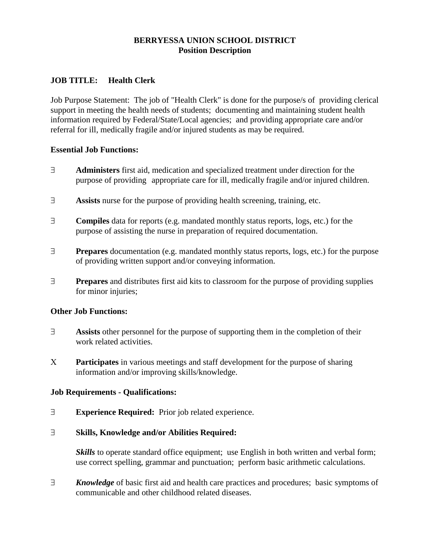# **BERRYESSA UNION SCHOOL DISTRICT Position Description**

## **JOB TITLE: Health Clerk**

Job Purpose Statement: The job of "Health Clerk" is done for the purpose/s of providing clerical support in meeting the health needs of students; documenting and maintaining student health information required by Federal/State/Local agencies; and providing appropriate care and/or referral for ill, medically fragile and/or injured students as may be required.

## **Essential Job Functions:**

- **Administers** first aid, medication and specialized treatment under direction for the purpose of providing appropriate care for ill, medically fragile and/or injured children.
- **Assists** nurse for the purpose of providing health screening, training, etc.
- **Compiles** data for reports (e.g. mandated monthly status reports, logs, etc.) for the purpose of assisting the nurse in preparation of required documentation.
- **Prepares** documentation (e.g. mandated monthly status reports, logs, etc.) for the purpose of providing written support and/or conveying information.
- **Prepares** and distributes first aid kits to classroom for the purpose of providing supplies for minor injuries;

## **Other Job Functions:**

- **Assists** other personnel for the purpose of supporting them in the completion of their work related activities.
- **Participates** in various meetings and staff development for the purpose of sharing information and/or improving skills/knowledge.

## **Job Requirements - Qualifications:**

**Experience Required:** Prior job related experience.

## **Skills, Knowledge and/or Abilities Required:**

*Skills* to operate standard office equipment; use English in both written and verbal form; use correct spelling, grammar and punctuation; perform basic arithmetic calculations.

*Knowledge* of basic first aid and health care practices and procedures; basic symptoms of communicable and other childhood related diseases.